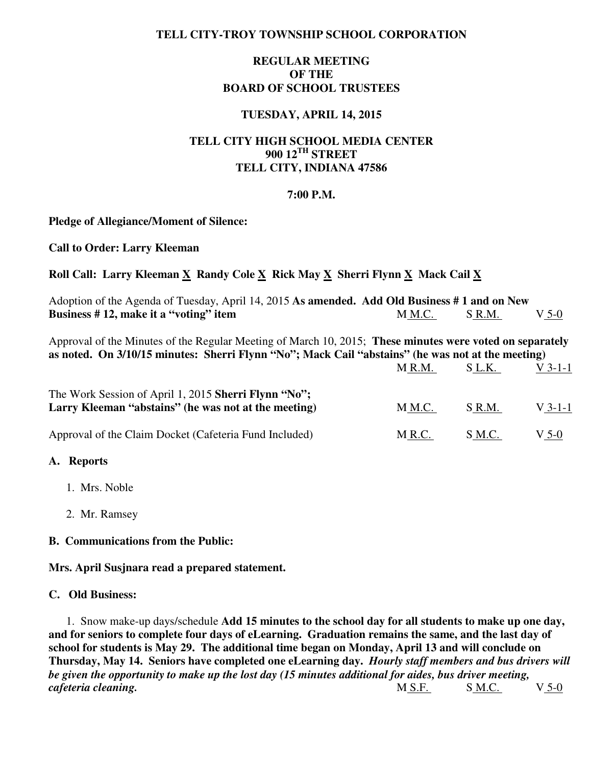## **TELL CITY-TROY TOWNSHIP SCHOOL CORPORATION**

# **REGULAR MEETING OF THE BOARD OF SCHOOL TRUSTEES**

## **TUESDAY, APRIL 14, 2015**

# **TELL CITY HIGH SCHOOL MEDIA CENTER 900 12TH STREET TELL CITY, INDIANA 47586**

### **7:00 P.M.**

#### **Pledge of Allegiance/Moment of Silence:**

**Call to Order: Larry Kleeman** 

# Roll Call: Larry Kleeman X Randy Cole X Rick May X Sherri Flynn X Mack Cail X

| Adoption of the Agenda of Tuesday, April 14, 2015 As amended. Add Old Business #1 and on New                                                                                                                  |        |        |           |  |  |
|---------------------------------------------------------------------------------------------------------------------------------------------------------------------------------------------------------------|--------|--------|-----------|--|--|
| Business #12, make it a "voting" item                                                                                                                                                                         | M M.C. | S R.M. | V 5-0     |  |  |
| Approval of the Minutes of the Regular Meeting of March 10, 2015; These minutes were voted on separately<br>as noted. On 3/10/15 minutes: Sherri Flynn "No"; Mack Cail "abstains" (he was not at the meeting) |        |        |           |  |  |
|                                                                                                                                                                                                               | M R.M. | S L.K. | $V$ 3-1-1 |  |  |
| The Work Session of April 1, 2015 Sherri Flynn "No";                                                                                                                                                          |        |        |           |  |  |
| Larry Kleeman "abstains" (he was not at the meeting)                                                                                                                                                          | M M.C. | S R.M. | $V$ 3-1-1 |  |  |
| Approval of the Claim Docket (Cafeteria Fund Included)                                                                                                                                                        | M R.C. | S M.C. | $V$ 5-0   |  |  |
| A. Reports                                                                                                                                                                                                    |        |        |           |  |  |

- 1. Mrs. Noble
- 2. Mr. Ramsey

### **B. Communications from the Public:**

**Mrs. April Susjnara read a prepared statement.** 

### **C. Old Business:**

1. Snow make-up days/schedule **Add 15 minutes to the school day for all students to make up one day, and for seniors to complete four days of eLearning. Graduation remains the same, and the last day of school for students is May 29. The additional time began on Monday, April 13 and will conclude on Thursday, May 14. Seniors have completed one eLearning day.** *Hourly staff members and bus drivers will be given the opportunity to make up the lost day (15 minutes additional for aides, bus driver meeting, cafeteria cleaning.*M S.F. S M.C. V 5-0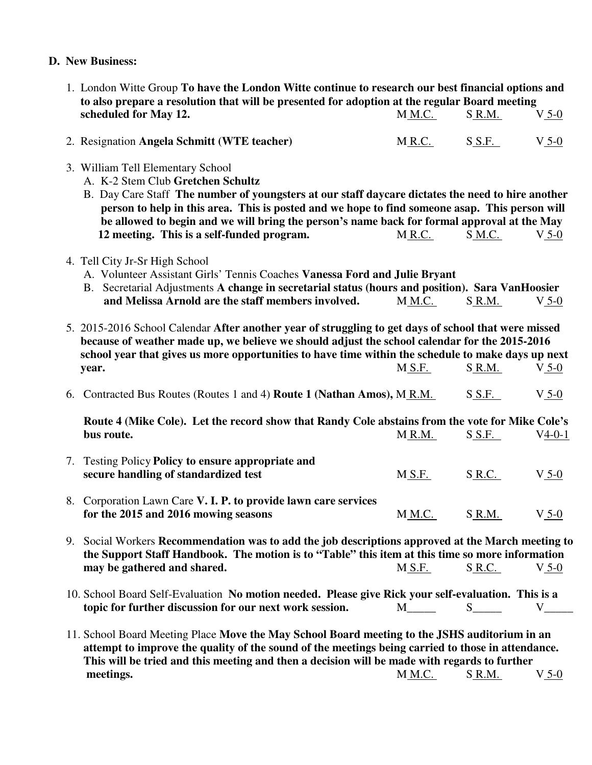## **D. New Business:**

- 1. London Witte Group **To have the London Witte continue to research our best financial options and to also prepare a resolution that will be presented for adoption at the regular Board meeting scheduled for May 12. MM.C.** S R.M. V 5-0
- 2. Resignation **Angela Schmitt (WTE teacher)** MR.C. S.S.F. V 5-0
- 3. William Tell Elementary School
	- A. K-2 Stem Club **Gretchen Schultz**
	- B. Day Care Staff **The number of youngsters at our staff daycare dictates the need to hire another person to help in this area. This is posted and we hope to find someone asap. This person will be allowed to begin and we will bring the person's name back for formal approval at the May 12 meeting. This is a self-funded program.** M R.C. S M.C. V 5-0
- 4. Tell City Jr-Sr High School
	- A. Volunteer Assistant Girls' Tennis Coaches **Vanessa Ford and Julie Bryant**
	- B. Secretarial Adjustments **A change in secretarial status (hours and position). Sara VanHoosier and Melissa Arnold are the staff members involved.** MM.C. SR.M. V 5-0
- 5. 2015-2016 School Calendar **After another year of struggling to get days of school that were missed because of weather made up, we believe we should adjust the school calendar for the 2015-2016 school year that gives us more opportunities to have time within the schedule to make days up next year.** M<u>S.F.</u> S<u>R.M.</u> V5-0 6. Contracted Bus Routes (Routes 1 and 4) **Route 1 (Nathan Amos),** M R.M. S S.F. V 5-0  **Route 4 (Mike Cole). Let the record show that Randy Cole abstains from the vote for Mike Cole's bus route.**  $M_R M. S_S F. V4-0-1$ 7. Testing Policy **Policy to ensure appropriate and SECURE handling of standardized test** M S.F. S R.C. V 5-0 8. Corporation Lawn Care **V. I. P. to provide lawn care services for the 2015 and 2016 mowing seasons** MM.C. S R.M. V 5-0 9. Social Workers **Recommendation was to add the job descriptions approved at the March meeting to the Support Staff Handbook. The motion is to "Table" this item at this time so more information may be gathered and shared.** M S.F. S R.C. V 5-0 10. School Board Self-Evaluation **No motion needed. Please give Rick your self-evaluation. This is a topic for further discussion for our next work session.** M\_\_\_\_ S\_\_\_\_ V\_\_\_\_
	- 11. School Board Meeting Place **Move the May School Board meeting to the JSHS auditorium in an attempt to improve the quality of the sound of the meetings being carried to those in attendance. This will be tried and this meeting and then a decision will be made with regards to further meetings.** M M.C. S R.M. V 5-0